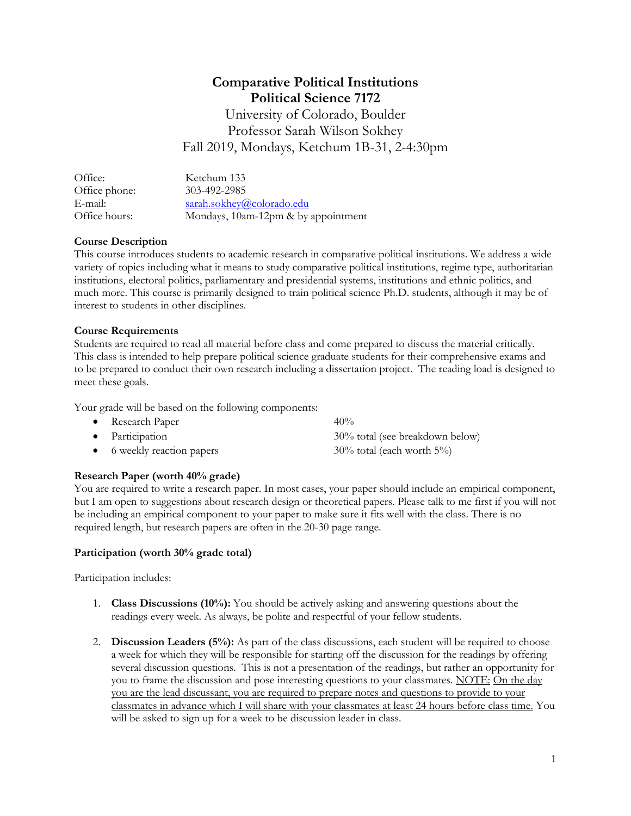# **Comparative Political Institutions Political Science 7172**

University of Colorado, Boulder Professor Sarah Wilson Sokhey Fall 2019, Mondays, Ketchum 1B-31, 2-4:30pm

| Office:       | Ketchum 133                         |
|---------------|-------------------------------------|
| Office phone: | 303-492-2985                        |
| E-mail:       | sarah.sokhey@colorado.edu           |
| Office hours: | Mondays, 10am-12pm & by appointment |

## **Course Description**

This course introduces students to academic research in comparative political institutions. We address a wide variety of topics including what it means to study comparative political institutions, regime type, authoritarian institutions, electoral politics, parliamentary and presidential systems, institutions and ethnic politics, and much more. This course is primarily designed to train political science Ph.D. students, although it may be of interest to students in other disciplines.

## **Course Requirements**

Students are required to read all material before class and come prepared to discuss the material critically. This class is intended to help prepare political science graduate students for their comprehensive exams and to be prepared to conduct their own research including a dissertation project. The reading load is designed to meet these goals.

Your grade will be based on the following components:

| • Research Paper           | 40%                              |
|----------------------------|----------------------------------|
| • Participation            | 30% total (see breakdown below)  |
| • 6 weekly reaction papers | $30\%$ total (each worth $5\%$ ) |

# **Research Paper (worth 40% grade)**

You are required to write a research paper. In most cases, your paper should include an empirical component, but I am open to suggestions about research design or theoretical papers. Please talk to me first if you will not be including an empirical component to your paper to make sure it fits well with the class. There is no required length, but research papers are often in the 20-30 page range.

## **Participation (worth 30% grade total)**

Participation includes:

- 1. **Class Discussions (10%):** You should be actively asking and answering questions about the readings every week. As always, be polite and respectful of your fellow students.
- 2. **Discussion Leaders (5%):** As part of the class discussions, each student will be required to choose a week for which they will be responsible for starting off the discussion for the readings by offering several discussion questions. This is not a presentation of the readings, but rather an opportunity for you to frame the discussion and pose interesting questions to your classmates. NOTE: On the day you are the lead discussant, you are required to prepare notes and questions to provide to your classmates in advance which I will share with your classmates at least 24 hours before class time. You will be asked to sign up for a week to be discussion leader in class.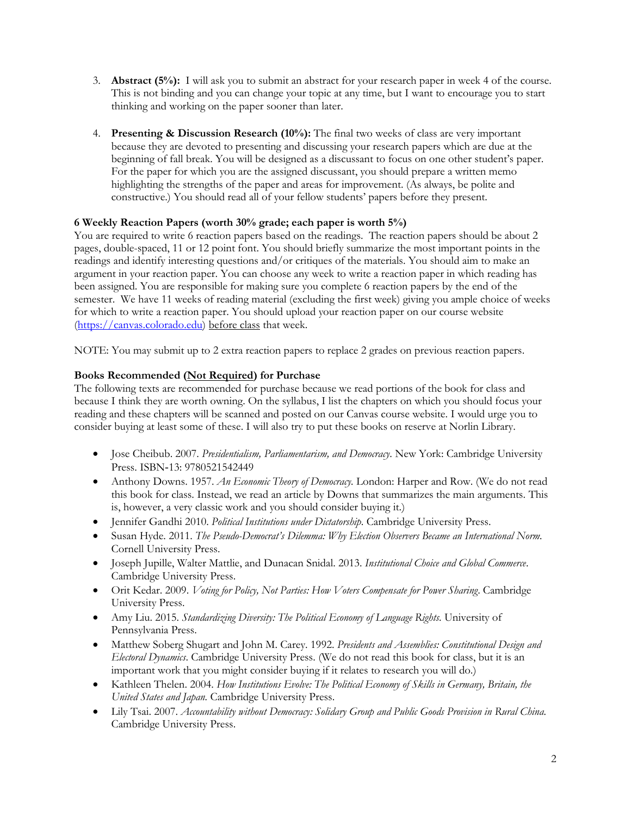- 3. **Abstract (5%):** I will ask you to submit an abstract for your research paper in week 4 of the course. This is not binding and you can change your topic at any time, but I want to encourage you to start thinking and working on the paper sooner than later.
- 4. **Presenting & Discussion Research (10%):** The final two weeks of class are very important because they are devoted to presenting and discussing your research papers which are due at the beginning of fall break. You will be designed as a discussant to focus on one other student's paper. For the paper for which you are the assigned discussant, you should prepare a written memo highlighting the strengths of the paper and areas for improvement. (As always, be polite and constructive.) You should read all of your fellow students' papers before they present.

## **6 Weekly Reaction Papers (worth 30% grade; each paper is worth 5%)**

You are required to write 6 reaction papers based on the readings. The reaction papers should be about 2 pages, double-spaced, 11 or 12 point font. You should briefly summarize the most important points in the readings and identify interesting questions and/or critiques of the materials. You should aim to make an argument in your reaction paper. You can choose any week to write a reaction paper in which reading has been assigned. You are responsible for making sure you complete 6 reaction papers by the end of the semester. We have 11 weeks of reading material (excluding the first week) giving you ample choice of weeks for which to write a reaction paper. You should upload your reaction paper on our course website [\(https://canvas.colorado.edu\)](https://canvas.colorado.edu/) before class that week.

NOTE: You may submit up to 2 extra reaction papers to replace 2 grades on previous reaction papers.

## **Books Recommended (Not Required) for Purchase**

The following texts are recommended for purchase because we read portions of the book for class and because I think they are worth owning. On the syllabus, I list the chapters on which you should focus your reading and these chapters will be scanned and posted on our Canvas course website. I would urge you to consider buying at least some of these. I will also try to put these books on reserve at Norlin Library.

- Jose Cheibub. 2007. *Presidentialism, Parliamentarism, and Democracy*. New York: Cambridge University Press. ISBN‐13: 9780521542449
- Anthony Downs. 1957. *An Economic Theory of Democracy.* London: Harper and Row. (We do not read this book for class. Instead, we read an article by Downs that summarizes the main arguments. This is, however, a very classic work and you should consider buying it.)
- Jennifer Gandhi 2010. *Political Institutions under Dictatorship*. Cambridge University Press.
- Susan Hyde. 2011. *The Pseudo-Democrat's Dilemma: Why Election Observers Became an International Norm.* Cornell University Press.
- Joseph Jupille, Walter Mattlie, and Dunacan Snidal. 2013. *Institutional Choice and Global Commerce*. Cambridge University Press.
- Orit Kedar. 2009. *Voting for Policy, Not Parties: How Voters Compensate for Power Sharing*. Cambridge University Press.
- Amy Liu. 2015. *Standardizing Diversity: The Political Economy of Language Rights.* University of Pennsylvania Press.
- Matthew Soberg Shugart and John M. Carey. 1992. *Presidents and Assemblies: Constitutional Design and Electoral Dynamics*. Cambridge University Press. (We do not read this book for class, but it is an important work that you might consider buying if it relates to research you will do.)
- Kathleen Thelen. 2004. *How Institutions Evolve: The Political Economy of Skills in Germany, Britain, the United States and Japan.* Cambridge University Press.
- Lily Tsai. 2007. *Accountability without Democracy: Solidary Group and Public Goods Provision in Rural China.*  Cambridge University Press.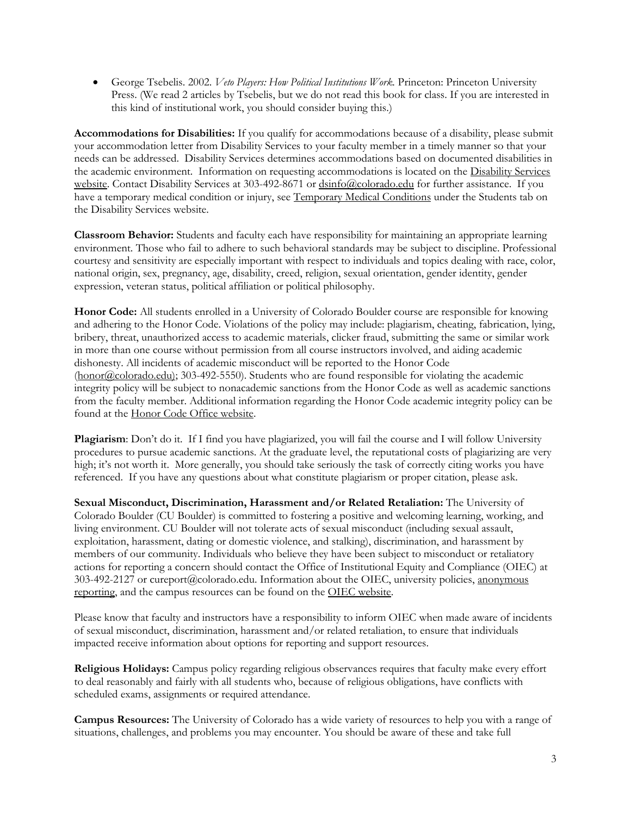George Tsebelis. 2002. *Veto Players: How Political Institutions Work.* Princeton: Princeton University Press. (We read 2 articles by Tsebelis, but we do not read this book for class. If you are interested in this kind of institutional work, you should consider buying this.)

**Accommodations for Disabilities:** If you qualify for accommodations because of a disability, please submit your accommodation letter from Disability Services to your faculty member in a timely manner so that your needs can be addressed. Disability Services determines accommodations based on documented disabilities in the academic environment. Information on requesting accommodations is located on the [Disability Services](http://www.colorado.edu/disabilityservices/students)  [website.](http://www.colorado.edu/disabilityservices/students) Contact Disability Services at 303-492-8671 or [dsinfo@colorado.edu](mailto:dsinfo@colorado.edu) for further assistance. If you have a temporary medical condition or injury, se[e Temporary Medical Conditions](http://www.colorado.edu/disabilityservices/students/temporary-medical-conditions) under the Students tab on the Disability Services website.

**Classroom Behavior:** Students and faculty each have responsibility for maintaining an appropriate learning environment. Those who fail to adhere to such behavioral standards may be subject to discipline. Professional courtesy and sensitivity are especially important with respect to individuals and topics dealing with race, color, national origin, sex, pregnancy, age, disability, creed, religion, sexual orientation, gender identity, gender expression, veteran status, political affiliation or political philosophy.

**Honor Code:** All students enrolled in a University of Colorado Boulder course are responsible for knowing and adhering to the Honor Code. Violations of the policy may include: plagiarism, cheating, fabrication, lying, bribery, threat, unauthorized access to academic materials, clicker fraud, submitting the same or similar work in more than one course without permission from all course instructors involved, and aiding academic dishonesty. All incidents of academic misconduct will be reported to the Honor Code [\(honor@colorado.edu\)](mailto:honor@colorado.edu); 303-492-5550). Students who are found responsible for violating the academic integrity policy will be subject to nonacademic sanctions from the Honor Code as well as academic sanctions from the faculty member. Additional information regarding the Honor Code academic integrity policy can be found at the [Honor Code Office website.](https://www.colorado.edu/osccr/honor-code)

**Plagiarism**: Don't do it. If I find you have plagiarized, you will fail the course and I will follow University procedures to pursue academic sanctions. At the graduate level, the reputational costs of plagiarizing are very high; it's not worth it. More generally, you should take seriously the task of correctly citing works you have referenced. If you have any questions about what constitute plagiarism or proper citation, please ask.

**Sexual Misconduct, Discrimination, Harassment and/or Related Retaliation:** The University of Colorado Boulder (CU Boulder) is committed to fostering a positive and welcoming learning, working, and living environment. CU Boulder will not tolerate acts of sexual misconduct (including sexual assault, exploitation, harassment, dating or domestic violence, and stalking), discrimination, and harassment by members of our community. Individuals who believe they have been subject to misconduct or retaliatory actions for reporting a concern should contact the Office of Institutional Equity and Compliance (OIEC) at 303-492-2127 or cureport@colorado.edu. Information about the OIEC, university policies, [anonymous](https://cuboulder.qualtrics.com/jfe/form/SV_0PnqVK4kkIJIZnf)  [reporting,](https://cuboulder.qualtrics.com/jfe/form/SV_0PnqVK4kkIJIZnf) and the campus resources can be found on the [OIEC website.](http://www.colorado.edu/institutionalequity/)

Please know that faculty and instructors have a responsibility to inform OIEC when made aware of incidents of sexual misconduct, discrimination, harassment and/or related retaliation, to ensure that individuals impacted receive information about options for reporting and support resources.

**Religious Holidays:** Campus policy regarding religious observances requires that faculty make every effort to deal reasonably and fairly with all students who, because of religious obligations, have conflicts with scheduled exams, assignments or required attendance.

**Campus Resources:** The University of Colorado has a wide variety of resources to help you with a range of situations, challenges, and problems you may encounter. You should be aware of these and take full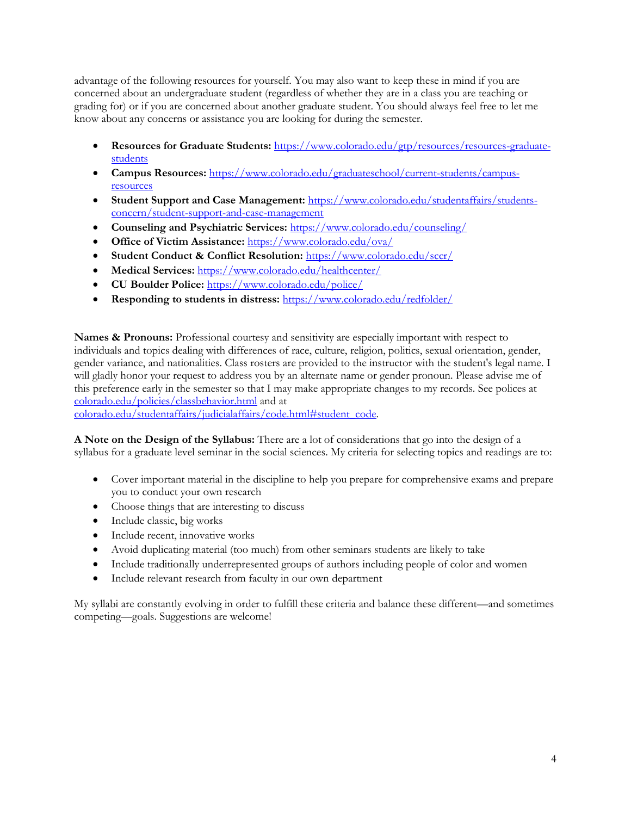advantage of the following resources for yourself. You may also want to keep these in mind if you are concerned about an undergraduate student (regardless of whether they are in a class you are teaching or grading for) or if you are concerned about another graduate student. You should always feel free to let me know about any concerns or assistance you are looking for during the semester.

- **Resources for Graduate Students:** [https://www.colorado.edu/gtp/resources/resources-graduate](https://www.colorado.edu/gtp/resources/resources-graduate-students)[students](https://www.colorado.edu/gtp/resources/resources-graduate-students)
- **Campus Resources:** [https://www.colorado.edu/graduateschool/current-students/campus](https://www.colorado.edu/graduateschool/current-students/campus-resources)[resources](https://www.colorado.edu/graduateschool/current-students/campus-resources)
- **Student Support and Case Management:** [https://www.colorado.edu/studentaffairs/students](https://www.colorado.edu/studentaffairs/students-concern/student-support-and-case-management)[concern/student-support-and-case-management](https://www.colorado.edu/studentaffairs/students-concern/student-support-and-case-management)
- **Counseling and Psychiatric Services:** <https://www.colorado.edu/counseling/>
- **Office of Victim Assistance:** <https://www.colorado.edu/ova/>
- **Student Conduct & Conflict Resolution:** <https://www.colorado.edu/sccr/>
- **Medical Services:** <https://www.colorado.edu/healthcenter/>
- **CU Boulder Police:** <https://www.colorado.edu/police/>
- **Responding to students in distress:** <https://www.colorado.edu/redfolder/>

**Names & Pronouns:** Professional courtesy and sensitivity are especially important with respect to individuals and topics dealing with differences of race, culture, religion, politics, sexual orientation, gender, gender variance, and nationalities. Class rosters are provided to the instructor with the student's legal name. I will gladly honor your request to address you by an alternate name or gender pronoun. Please advise me of this preference early in the semester so that I may make appropriate changes to my records. See polices at [colorado.edu/policies/classbehavior.html](http://www.colorado.edu/policies/classbehavior.html) and at

[colorado.edu/studentaffairs/judicialaffairs/code.html#student\\_code.](http://www.colorado.edu/studentaffairs/judicialaffairs/code.html)

**A Note on the Design of the Syllabus:** There are a lot of considerations that go into the design of a syllabus for a graduate level seminar in the social sciences. My criteria for selecting topics and readings are to:

- Cover important material in the discipline to help you prepare for comprehensive exams and prepare you to conduct your own research
- Choose things that are interesting to discuss
- Include classic, big works
- Include recent, innovative works
- Avoid duplicating material (too much) from other seminars students are likely to take
- Include traditionally underrepresented groups of authors including people of color and women
- Include relevant research from faculty in our own department

My syllabi are constantly evolving in order to fulfill these criteria and balance these different—and sometimes competing—goals. Suggestions are welcome!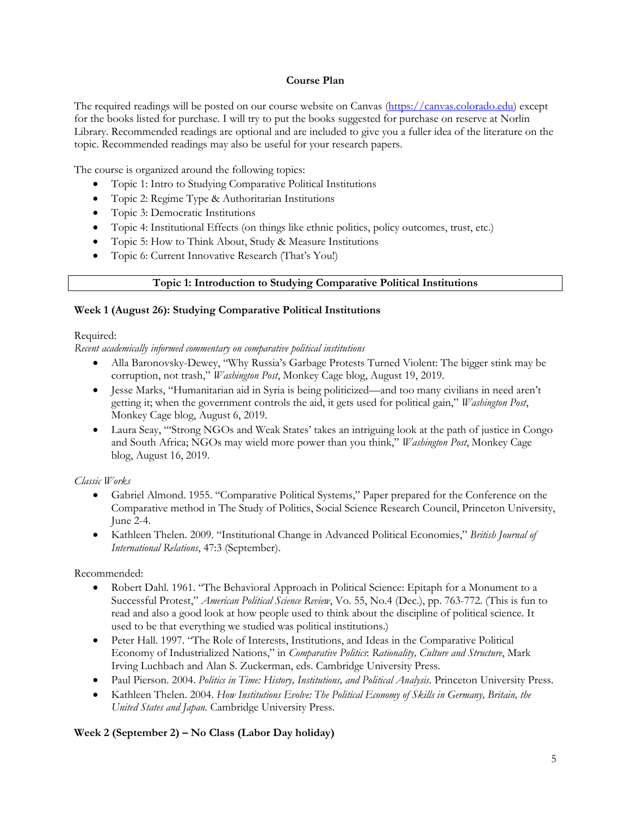#### **Course Plan**

The required readings will be posted on our course website on Canvas [\(https://canvas.colorado.edu\)](https://canvas.colorado.edu/) except for the books listed for purchase. I will try to put the books suggested for purchase on reserve at Norlin Library. Recommended readings are optional and are included to give you a fuller idea of the literature on the topic. Recommended readings may also be useful for your research papers.

The course is organized around the following topics:

- Topic 1: Intro to Studying Comparative Political Institutions
- Topic 2: Regime Type & Authoritarian Institutions
- Topic 3: Democratic Institutions
- Topic 4: Institutional Effects (on things like ethnic politics, policy outcomes, trust, etc.)
- Topic 5: How to Think About, Study & Measure Institutions
- Topic 6: Current Innovative Research (That's You!)

## **Topic 1: Introduction to Studying Comparative Political Institutions**

## **Week 1 (August 26): Studying Comparative Political Institutions**

#### Required:

*Recent academically informed commentary on comparative political institutions*

- Alla Baronovsky-Dewey, "Why Russia's Garbage Protests Turned Violent: The bigger stink may be corruption, not trash," *Washington Post*, Monkey Cage blog, August 19, 2019.
- Jesse Marks, "Humanitarian aid in Syria is being politicized—and too many civilians in need aren't getting it; when the government controls the aid, it gets used for political gain," *Washington Post*, Monkey Cage blog, August 6, 2019.
- Laura Seay, "'Strong NGOs and Weak States' takes an intriguing look at the path of justice in Congo and South Africa; NGOs may wield more power than you think," *Washington Post*, Monkey Cage blog, August 16, 2019.

## *Classic Works*

- Gabriel Almond. 1955. "Comparative Political Systems," Paper prepared for the Conference on the Comparative method in The Study of Politics, Social Science Research Council, Princeton University, June 2-4.
- Kathleen Thelen. 2009. "Institutional Change in Advanced Political Economies," *British Journal of International Relations*, 47:3 (September).

## Recommended:

- Robert Dahl. 1961. "The Behavioral Approach in Political Science: Epitaph for a Monument to a Successful Protest," *American Political Science Review*, Vo. 55, No.4 (Dec.), pp. 763-772. (This is fun to read and also a good look at how people used to think about the discipline of political science. It used to be that everything we studied was political institutions.)
- Peter Hall. 1997. "The Role of Interests, Institutions, and Ideas in the Comparative Political Economy of Industrialized Nations," in *Comparative Politics*: *Rationality, Culture and Structure*, Mark Irving Luchbach and Alan S. Zuckerman, eds. Cambridge University Press.
- Paul Pierson. 2004. *Politics in Time: History, Institutions, and Political Analysis*. Princeton University Press.
- Kathleen Thelen. 2004. *How Institutions Evolve: The Political Economy of Skills in Germany, Britain, the United States and Japan.* Cambridge University Press.

## **Week 2 (September 2) – No Class (Labor Day holiday)**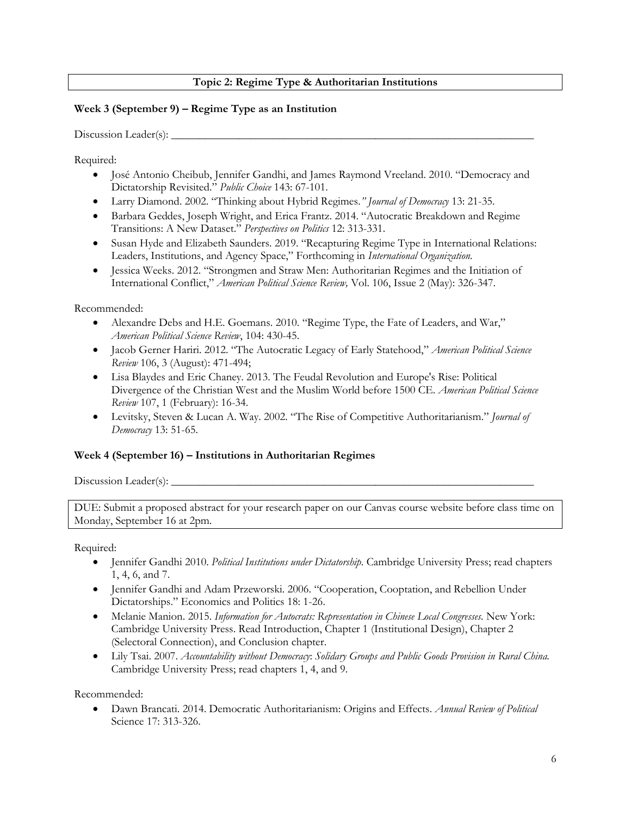# **Topic 2: Regime Type & Authoritarian Institutions**

## **Week 3 (September 9) – Regime Type as an Institution**

#### $Discussion$   $Leader(s):$   $\_\_$

Required:

- José Antonio Cheibub, Jennifer Gandhi, and James Raymond Vreeland. 2010. "Democracy and Dictatorship Revisited." *Public Choice* 143: 67-101.
- Larry Diamond. 2002. "Thinking about Hybrid Regimes*." Journal of Democracy* 13: 21-35.
- Barbara Geddes, Joseph Wright, and Erica Frantz. 2014. "Autocratic Breakdown and Regime Transitions: A New Dataset." *Perspectives on Politics* 12: 313-331.
- Susan Hyde and Elizabeth Saunders. 2019. "Recapturing Regime Type in International Relations: Leaders, Institutions, and Agency Space," Forthcoming in *International Organization.*
- Jessica Weeks. 2012. "Strongmen and Straw Men: Authoritarian Regimes and the Initiation of International Conflict," *American Political Science Review,* Vol. 106, Issue 2 (May): 326-347.

## Recommended:

- Alexandre Debs and H.E. Goemans. 2010. "Regime Type, the Fate of Leaders, and War," *American Political Science Review*, 104: 430-45.
- Jacob Gerner Hariri. 2012. "The Autocratic Legacy of Early Statehood," *American Political Science Review* 106, 3 (August): 471-494;
- Lisa Blaydes and Eric Chaney. 2013. The Feudal Revolution and Europe's Rise: Political Divergence of the Christian West and the Muslim World before 1500 CE. *American Political Science Review* 107, 1 (February): 16-34.
- Levitsky, Steven & Lucan A. Way. 2002. "The Rise of Competitive Authoritarianism." *Journal of Democracy* 13: 51-65.

## **Week 4 (September 16) – Institutions in Authoritarian Regimes**

Discussion Leader(s):  $\Box$ 

DUE: Submit a proposed abstract for your research paper on our Canvas course website before class time on Monday, September 16 at 2pm.

Required:

- Jennifer Gandhi 2010. *Political Institutions under Dictatorship*. Cambridge University Press; read chapters 1, 4, 6, and 7.
- Jennifer Gandhi and Adam Przeworski. 2006. "Cooperation, Cooptation, and Rebellion Under Dictatorships." Economics and Politics 18: 1-26.
- Melanie Manion. 2015. *Information for Autocrats: Representation in Chinese Local Congresses.* New York: Cambridge University Press. Read Introduction, Chapter 1 (Institutional Design), Chapter 2 (Selectoral Connection), and Conclusion chapter.
- Lily Tsai. 2007. *Accountability without Democracy*: *Solidary Groups and Public Goods Provision in Rural China.* Cambridge University Press; read chapters 1, 4, and 9.

Recommended:

 Dawn Brancati. 2014. Democratic Authoritarianism: Origins and Effects. *Annual Review of Political* Science 17: 313-326.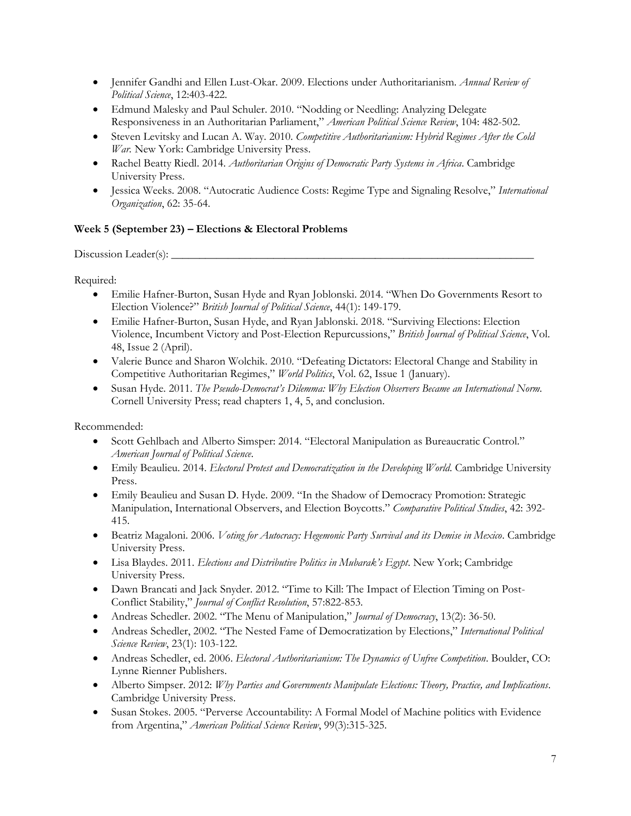- Jennifer Gandhi and Ellen Lust-Okar. 2009. Elections under Authoritarianism. *Annual Review of Political Science*, 12:403-422.
- Edmund Malesky and Paul Schuler. 2010. "Nodding or Needling: Analyzing Delegate Responsiveness in an Authoritarian Parliament," *American Political Science Review*, 104: 482-502.
- Steven Levitsky and Lucan A. Way. 2010. *Competitive Authoritarianism: Hybrid Regimes After the Cold War.* New York: Cambridge University Press.
- Rachel Beatty Riedl. 2014. *Authoritarian Origins of Democratic Party Systems in Africa*. Cambridge University Press.
- Jessica Weeks. 2008. "Autocratic Audience Costs: Regime Type and Signaling Resolve," *International Organization*, 62: 35-64.

# **Week 5 (September 23) – Elections & Electoral Problems**

Discussion Leader(s): \_\_\_\_\_\_\_\_\_\_\_\_\_\_\_\_\_\_\_\_\_\_\_\_\_\_\_\_\_\_\_\_\_\_\_\_\_\_\_\_\_\_\_\_\_\_\_\_\_\_\_\_\_\_\_\_\_\_\_\_\_\_\_\_

Required:

- Emilie Hafner-Burton, Susan Hyde and Ryan Joblonski. 2014. "When Do Governments Resort to Election Violence?" *British Journal of Political Science*, 44(1): 149-179.
- Emilie Hafner-Burton, Susan Hyde, and Ryan Jablonski. 2018. "Surviving Elections: Election Violence, Incumbent Victory and Post-Election Repurcussions," *British Journal of Political Science*, Vol. 48, Issue 2 (April).
- Valerie Bunce and Sharon Wolchik. 2010. "Defeating Dictators: Electoral Change and Stability in Competitive Authoritarian Regimes," *World Politics*, Vol. 62, Issue 1 (January).
- Susan Hyde. 2011. *The Pseudo-Democrat's Dilemma: Why Election Observers Became an International Norm.* Cornell University Press; read chapters 1, 4, 5, and conclusion.

- Scott Gehlbach and Alberto Simsper: 2014. "Electoral Manipulation as Bureaucratic Control." *American Journal of Political Science*.
- Emily Beaulieu. 2014. *Electoral Protest and Democratization in the Developing World*. Cambridge University Press.
- Emily Beaulieu and Susan D. Hyde. 2009. "In the Shadow of Democracy Promotion: Strategic Manipulation, International Observers, and Election Boycotts." *Comparative Political Studies*, 42: 392- 415.
- Beatriz Magaloni. 2006. *Voting for Autocracy: Hegemonic Party Survival and its Demise in Mexico*. Cambridge University Press.
- Lisa Blaydes. 2011. *Elections and Distributive Politics in Mubarak's Egypt*. New York; Cambridge University Press.
- Dawn Brancati and Jack Snyder. 2012. "Time to Kill: The Impact of Election Timing on Post-Conflict Stability," *Journal of Conflict Resolution*, 57:822-853.
- Andreas Schedler. 2002. "The Menu of Manipulation," *Journal of Democracy*, 13(2): 36-50.
- Andreas Schedler, 2002. "The Nested Fame of Democratization by Elections," *International Political Science Review*, 23(1): 103-122.
- Andreas Schedler, ed. 2006. *Electoral Authoritarianism: The Dynamics of Unfree Competition*. Boulder, CO: Lynne Rienner Publishers.
- Alberto Simpser. 2012: *Why Parties and Governments Manipulate Elections: Theory, Practice, and Implications*. Cambridge University Press.
- Susan Stokes. 2005. "Perverse Accountability: A Formal Model of Machine politics with Evidence from Argentina," *American Political Science Review*, 99(3):315-325.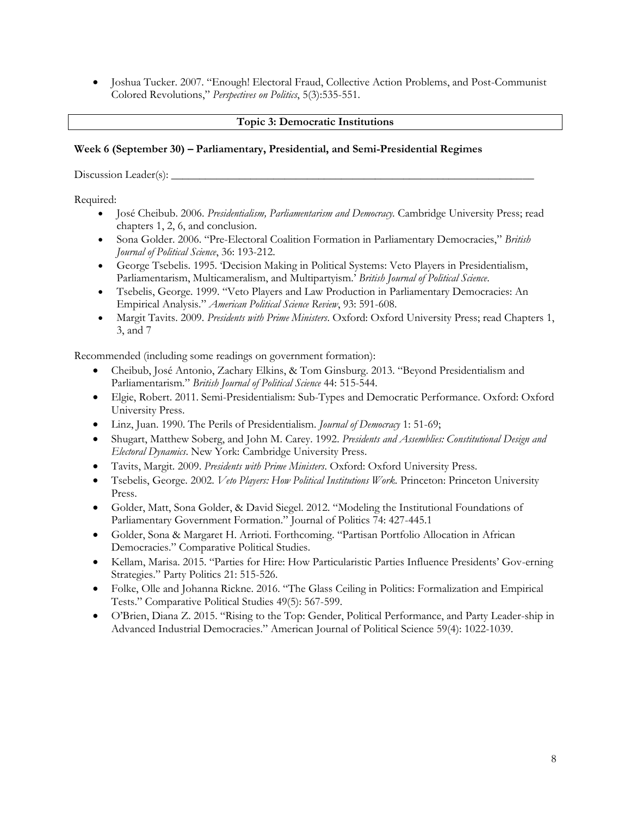Joshua Tucker. 2007. "Enough! Electoral Fraud, Collective Action Problems, and Post-Communist Colored Revolutions," *Perspectives on Politics*, 5(3):535-551.

## **Topic 3: Democratic Institutions**

#### **Week 6 (September 30) – Parliamentary, Presidential, and Semi-Presidential Regimes**

Discussion Leader(s):

Required:

- José Cheibub. 2006. *Presidentialism, Parliamentarism and Democracy.* Cambridge University Press; read chapters 1, 2, 6, and conclusion.
- Sona Golder. 2006. "Pre-Electoral Coalition Formation in Parliamentary Democracies," *British Journal of Political Science*, 36: 193-212.
- George Tsebelis. 1995. 'Decision Making in Political Systems: Veto Players in Presidentialism, Parliamentarism, Multicameralism, and Multipartyism.' *British Journal of Political Science*.
- Tsebelis, George. 1999. "Veto Players and Law Production in Parliamentary Democracies: An Empirical Analysis." *American Political Science Review*, 93: 591-608.
- Margit Tavits. 2009. *Presidents with Prime Ministers*. Oxford: Oxford University Press; read Chapters 1, 3, and 7

Recommended (including some readings on government formation):

- Cheibub, José Antonio, Zachary Elkins, & Tom Ginsburg. 2013. "Beyond Presidentialism and Parliamentarism." *British Journal of Political Science* 44: 515-544.
- Elgie, Robert. 2011. Semi-Presidentialism: Sub-Types and Democratic Performance. Oxford: Oxford University Press.
- Linz, Juan. 1990. The Perils of Presidentialism. *Journal of Democracy* 1: 51-69;
- Shugart, Matthew Soberg, and John M. Carey. 1992. *Presidents and Assemblies: Constitutional Design and Electoral Dynamics*. New York: Cambridge University Press.
- Tavits, Margit. 2009. *Presidents with Prime Ministers*. Oxford: Oxford University Press.
- Tsebelis, George. 2002. *Veto Players: How Political Institutions Work.* Princeton: Princeton University Press.
- Golder, Matt, Sona Golder, & David Siegel. 2012. "Modeling the Institutional Foundations of Parliamentary Government Formation." Journal of Politics 74: 427-445.1
- Golder, Sona & Margaret H. Arrioti. Forthcoming. "Partisan Portfolio Allocation in African Democracies." Comparative Political Studies.
- Kellam, Marisa. 2015. "Parties for Hire: How Particularistic Parties Influence Presidents' Gov-erning Strategies." Party Politics 21: 515-526.
- Folke, Olle and Johanna Rickne. 2016. "The Glass Ceiling in Politics: Formalization and Empirical Tests." Comparative Political Studies 49(5): 567-599.
- O'Brien, Diana Z. 2015. "Rising to the Top: Gender, Political Performance, and Party Leader-ship in Advanced Industrial Democracies." American Journal of Political Science 59(4): 1022-1039.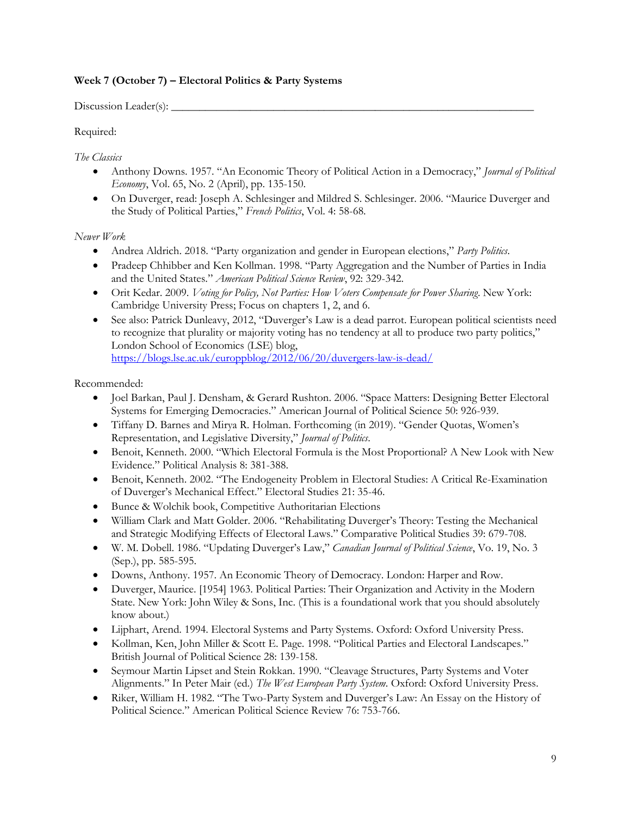# **Week 7 (October 7) – Electoral Politics & Party Systems**

 $Discussion$  Leader(s):  $\_\_$ 

Required:

*The Classics*

- Anthony Downs. 1957. "An Economic Theory of Political Action in a Democracy," *Journal of Political Economy*, Vol. 65, No. 2 (April), pp. 135-150.
- On Duverger, read: Joseph A. Schlesinger and Mildred S. Schlesinger. 2006. "Maurice Duverger and the Study of Political Parties," *French Politics*, Vol. 4: 58-68.

*Newer Work*

- Andrea Aldrich. 2018. "Party organization and gender in European elections," *Party Politics*.
- Pradeep Chhibber and Ken Kollman. 1998. "Party Aggregation and the Number of Parties in India and the United States." *American Political Science Review*, 92: 329-342.
- Orit Kedar. 2009. *Voting for Policy, Not Parties: How Voters Compensate for Power Sharing*. New York: Cambridge University Press; Focus on chapters 1, 2, and 6.
- See also: Patrick Dunleavy, 2012, "Duverger's Law is a dead parrot. European political scientists need to recognize that plurality or majority voting has no tendency at all to produce two party politics," London School of Economics (LSE) blog, <https://blogs.lse.ac.uk/europpblog/2012/06/20/duvergers-law-is-dead/>

- Joel Barkan, Paul J. Densham, & Gerard Rushton. 2006. "Space Matters: Designing Better Electoral Systems for Emerging Democracies." American Journal of Political Science 50: 926-939.
- Tiffany D. Barnes and Mirya R. Holman. Forthcoming (in 2019). "Gender Quotas, Women's Representation, and Legislative Diversity," *Journal of Politics*.
- Benoit, Kenneth. 2000. "Which Electoral Formula is the Most Proportional? A New Look with New Evidence." Political Analysis 8: 381-388.
- Benoit, Kenneth. 2002. "The Endogeneity Problem in Electoral Studies: A Critical Re-Examination of Duverger's Mechanical Effect." Electoral Studies 21: 35-46.
- Bunce & Wolchik book, Competitive Authoritarian Elections
- William Clark and Matt Golder. 2006. "Rehabilitating Duverger's Theory: Testing the Mechanical and Strategic Modifying Effects of Electoral Laws." Comparative Political Studies 39: 679-708.
- W. M. Dobell. 1986. "Updating Duverger's Law," *Canadian Journal of Political Science*, Vo. 19, No. 3 (Sep.), pp. 585-595.
- Downs, Anthony. 1957. An Economic Theory of Democracy. London: Harper and Row.
- Duverger, Maurice. [1954] 1963. Political Parties: Their Organization and Activity in the Modern State. New York: John Wiley & Sons, Inc. (This is a foundational work that you should absolutely know about.)
- Lijphart, Arend. 1994. Electoral Systems and Party Systems. Oxford: Oxford University Press.
- Kollman, Ken, John Miller & Scott E. Page. 1998. "Political Parties and Electoral Landscapes." British Journal of Political Science 28: 139-158.
- Seymour Martin Lipset and Stein Rokkan. 1990. "Cleavage Structures, Party Systems and Voter Alignments." In Peter Mair (ed.) *The West European Party System*. Oxford: Oxford University Press.
- Riker, William H. 1982. "The Two-Party System and Duverger's Law: An Essay on the History of Political Science." American Political Science Review 76: 753-766.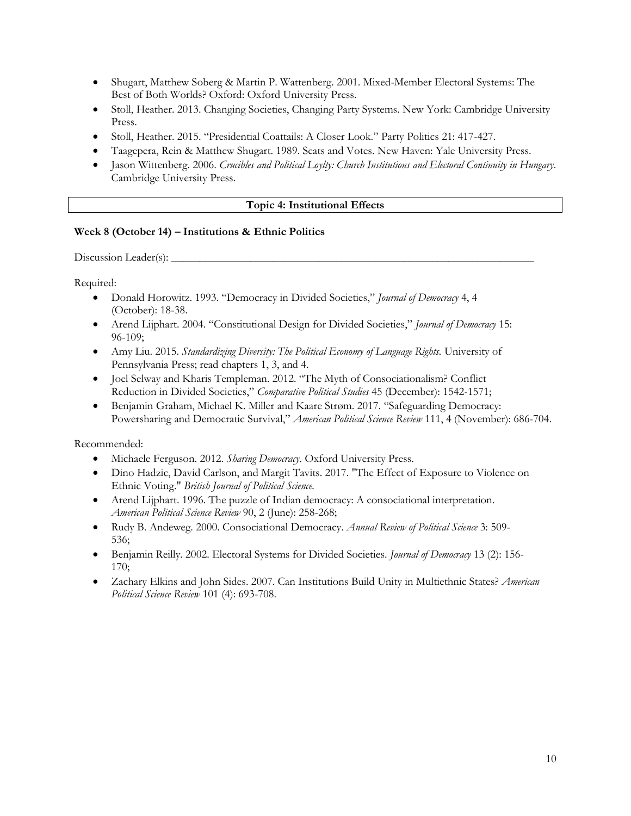- Shugart, Matthew Soberg & Martin P. Wattenberg. 2001. Mixed-Member Electoral Systems: The Best of Both Worlds? Oxford: Oxford University Press.
- Stoll, Heather. 2013. Changing Societies, Changing Party Systems. New York: Cambridge University Press.
- Stoll, Heather. 2015. "Presidential Coattails: A Closer Look." Party Politics 21: 417-427.
- Taagepera, Rein & Matthew Shugart. 1989. Seats and Votes. New Haven: Yale University Press.
- Jason Wittenberg. 2006. *Crucibles and Political Loylty: Church Institutions and Electoral Continuity in Hungary*. Cambridge University Press.

## **Topic 4: Institutional Effects**

## **Week 8 (October 14) – Institutions & Ethnic Politics**

Discussion Leader(s):  $\Box$ 

Required:

- Donald Horowitz. 1993. "Democracy in Divided Societies," *Journal of Democracy* 4, 4 (October): 18-38.
- Arend Lijphart. 2004. "Constitutional Design for Divided Societies," *Journal of Democracy* 15: 96-109;
- Amy Liu. 2015. *Standardizing Diversity: The Political Economy of Language Rights*. University of Pennsylvania Press; read chapters 1, 3, and 4.
- Joel Selway and Kharis Templeman. 2012. "The Myth of Consociationalism? Conflict Reduction in Divided Societies," *Comparative Political Studies* 45 (December): 1542-1571;
- Benjamin Graham, Michael K. Miller and Kaare Strøm. 2017. "Safeguarding Democracy: Powersharing and Democratic Survival," *American Political Science Review* 111, 4 (November): 686-704.

- Michaele Ferguson. 2012. *Sharing Democracy*. Oxford University Press.
- Dino Hadzic, David Carlson, and Margit Tavits. 2017. "The Effect of Exposure to Violence on Ethnic Voting." *British Journal of Political Science.*
- Arend Lijphart. 1996. The puzzle of Indian democracy: A consociational interpretation. *American Political Science Review* 90, 2 (June): 258-268;
- Rudy B. Andeweg. 2000. Consociational Democracy. *Annual Review of Political Science* 3: 509- 536;
- Benjamin Reilly. 2002. Electoral Systems for Divided Societies. *Journal of Democracy* 13 (2): 156- 170;
- Zachary Elkins and John Sides. 2007. Can Institutions Build Unity in Multiethnic States? *American Political Science Review* 101 (4): 693-708.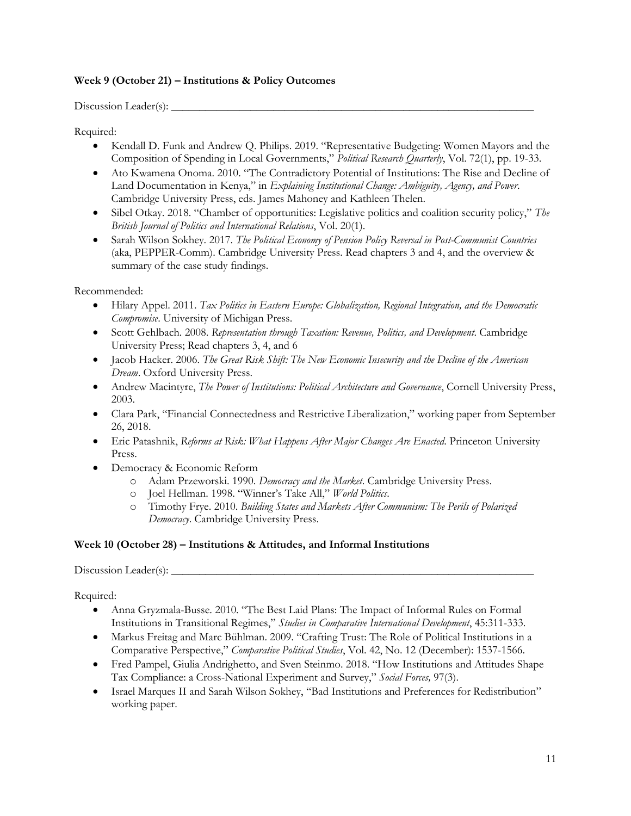## **Week 9 (October 21) – Institutions & Policy Outcomes**

Discussion Leader(s):  $\_\_$ 

Required:

- Kendall D. Funk and Andrew Q. Philips. 2019. "Representative Budgeting: Women Mayors and the Composition of Spending in Local Governments," *Political Research Quarterly*, Vol. 72(1), pp. 19-33.
- Ato Kwamena Onoma. 2010. "The Contradictory Potential of Institutions: The Rise and Decline of Land Documentation in Kenya," in *Explaining Institutional Change: Ambiguity, Agency, and Power*. Cambridge University Press, eds. James Mahoney and Kathleen Thelen.
- Sibel Otkay. 2018. "Chamber of opportunities: Legislative politics and coalition security policy," *The British Journal of Politics and International Relations*, Vol. 20(1).
- Sarah Wilson Sokhey. 2017. *The Political Economy of Pension Policy Reversal in Post-Communist Countries*  (aka, PEPPER-Comm). Cambridge University Press. Read chapters 3 and 4, and the overview & summary of the case study findings.

Recommended:

- Hilary Appel. 2011. *Tax Politics in Eastern Europe: Globalization, Regional Integration, and the Democratic Compromise*. University of Michigan Press.
- Scott Gehlbach. 2008. *Representation through Taxation: Revenue, Politics, and Development*. Cambridge University Press; Read chapters 3, 4, and 6
- Jacob Hacker. 2006. *The Great Risk Shift: The New Economic Insecurity and the Decline of the American Dream*. Oxford University Press.
- Andrew Macintyre, *The Power of Institutions: Political Architecture and Governance*, Cornell University Press, 2003.
- Clara Park, "Financial Connectedness and Restrictive Liberalization," working paper from September 26, 2018.
- Eric Patashnik, *Reforms at Risk: What Happens After Major Changes Are Enacted*. Princeton University Press.
- Democracy & Economic Reform
	- o Adam Przeworski. 1990. *Democracy and the Market*. Cambridge University Press.
	- o Joel Hellman. 1998. "Winner's Take All," *World Politics*.
	- o Timothy Frye. 2010. *Building States and Markets After Communism: The Perils of Polarized Democracy*. Cambridge University Press.

## **Week 10 (October 28) – Institutions & Attitudes, and Informal Institutions**

Discussion Leader(s): \_\_\_\_\_\_\_\_\_\_\_\_\_\_\_\_\_\_\_\_\_\_\_\_\_\_\_\_\_\_\_\_\_\_\_\_\_\_\_\_\_\_\_\_\_\_\_\_\_\_\_\_\_\_\_\_\_\_\_\_\_\_\_\_

Required:

- Anna Gryzmala-Busse. 2010. "The Best Laid Plans: The Impact of Informal Rules on Formal Institutions in Transitional Regimes," *Studies in Comparative International Development*, 45:311-333.
- Markus Freitag and Marc Bühlman. 2009. "Crafting Trust: The Role of Political Institutions in a Comparative Perspective," *Comparative Political Studies*, Vol. 42, No. 12 (December): 1537-1566.
- Fred Pampel, Giulia Andrighetto, and Sven Steinmo. 2018. "How Institutions and Attitudes Shape Tax Compliance: a Cross-National Experiment and Survey," *Social Forces,* 97(3).
- Israel Marques II and Sarah Wilson Sokhey, "Bad Institutions and Preferences for Redistribution" working paper.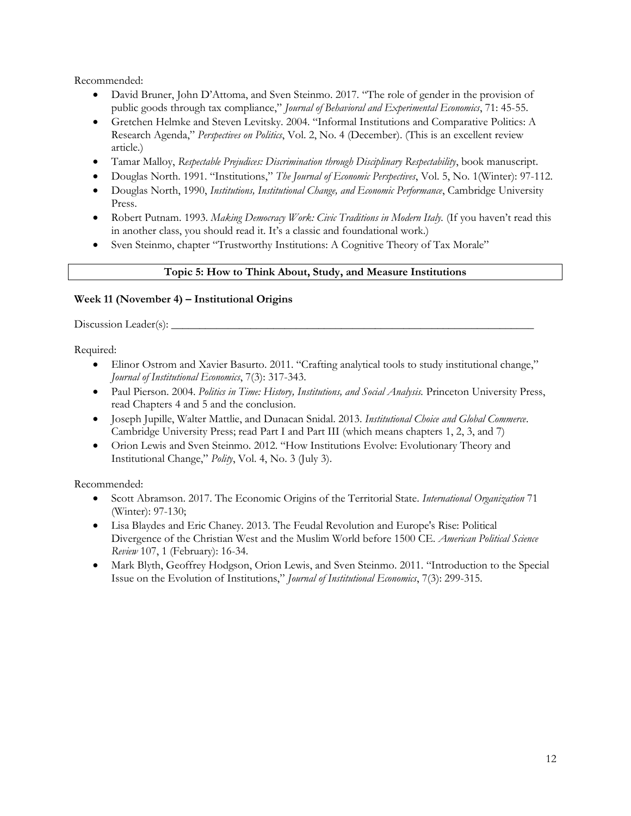Recommended:

- David Bruner, John D'Attoma, and Sven Steinmo. 2017. "The role of gender in the provision of public goods through tax compliance," *Journal of Behavioral and Experimental Economics*, 71: 45-55.
- Gretchen Helmke and Steven Levitsky. 2004. "Informal Institutions and Comparative Politics: A Research Agenda," *Perspectives on Politics*, Vol. 2, No. 4 (December). (This is an excellent review article.)
- Tamar Malloy, *Respectable Prejudices: Discrimination through Disciplinary Respectability*, book manuscript.
- Douglas North. 1991. "Institutions," *The Journal of Economic Perspectives*, Vol. 5, No. 1(Winter): 97-112.
- Douglas North, 1990, *Institutions, Institutional Change, and Economic Performance*, Cambridge University Press.
- Robert Putnam. 1993. *Making Democracy Work: Civic Traditions in Modern Italy.* (If you haven't read this in another class, you should read it. It's a classic and foundational work.)
- Sven Steinmo, chapter "Trustworthy Institutions: A Cognitive Theory of Tax Morale"

## **Topic 5: How to Think About, Study, and Measure Institutions**

## **Week 11 (November 4) – Institutional Origins**

Discussion Leader(s):

Required:

- Elinor Ostrom and Xavier Basurto. 2011. "Crafting analytical tools to study institutional change," *Journal of Institutional Economics*, 7(3): 317-343.
- Paul Pierson. 2004. *Politics in Time: History, Institutions, and Social Analysis.* Princeton University Press, read Chapters 4 and 5 and the conclusion.
- Joseph Jupille, Walter Mattlie, and Dunacan Snidal. 2013. *Institutional Choice and Global Commerce*. Cambridge University Press; read Part I and Part III (which means chapters 1, 2, 3, and 7)
- Orion Lewis and Sven Steinmo. 2012. "How Institutions Evolve: Evolutionary Theory and Institutional Change," *Polity*, Vol. 4, No. 3 (July 3).

- Scott Abramson. 2017. The Economic Origins of the Territorial State. *International Organization* 71 (Winter): 97-130;
- Lisa Blaydes and Eric Chaney. 2013. The Feudal Revolution and Europe's Rise: Political Divergence of the Christian West and the Muslim World before 1500 CE. *American Political Science Review* 107, 1 (February): 16-34.
- Mark Blyth, Geoffrey Hodgson, Orion Lewis, and Sven Steinmo. 2011. "Introduction to the Special Issue on the Evolution of Institutions," *Journal of Institutional Economics*, 7(3): 299-315.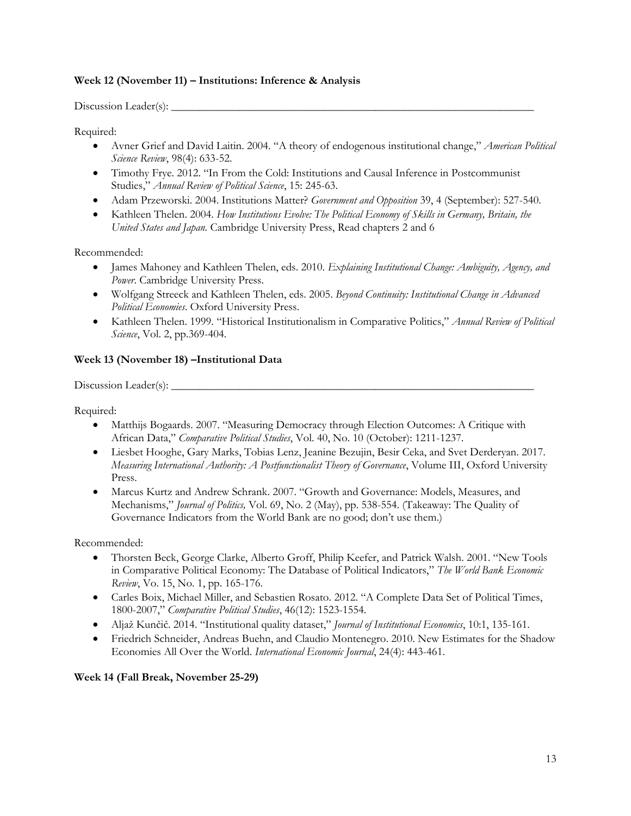## **Week 12 (November 11) – Institutions: Inference & Analysis**

 $Discussion$  Leader(s):  $\_\_$ 

Required:

- Avner Grief and David Laitin. 2004. "A theory of endogenous institutional change," *American Political Science Review*, 98(4): 633-52.
- Timothy Frye. 2012. "In From the Cold: Institutions and Causal Inference in Postcommunist Studies," *Annual Review of Political Science*, 15: 245-63.
- Adam Przeworski. 2004. Institutions Matter? *Government and Opposition* 39, 4 (September): 527-540.
- Kathleen Thelen. 2004. *How Institutions Evolve: The Political Economy of Skills in Germany, Britain, the United States and Japan.* Cambridge University Press, Read chapters 2 and 6

Recommended:

- James Mahoney and Kathleen Thelen, eds. 2010. *Explaining Institutional Change: Ambiguity, Agency, and Power*. Cambridge University Press.
- Wolfgang Streeck and Kathleen Thelen, eds. 2005. *Beyond Continuity: Institutional Change in Advanced Political Economies*. Oxford University Press.
- Kathleen Thelen. 1999. "Historical Institutionalism in Comparative Politics," *Annual Review of Political Science*, Vol. 2, pp.369-404.

# **Week 13 (November 18) –Institutional Data**

Discussion Leader(s): \_\_\_\_\_\_\_\_\_\_\_\_\_\_\_\_\_\_\_\_\_\_\_\_\_\_\_\_\_\_\_\_\_\_\_\_\_\_\_\_\_\_\_\_\_\_\_\_\_\_\_\_\_\_\_\_\_\_\_\_\_\_\_\_

Required:

- Matthijs Bogaards. 2007. "Measuring Democracy through Election Outcomes: A Critique with African Data," *Comparative Political Studies*, Vol. 40, No. 10 (October): 1211-1237.
- Liesbet Hooghe, Gary Marks, Tobias Lenz, Jeanine Bezujin, Besir Ceka, and Svet Derderyan. 2017. *Measuring International Authority: A Postfunctionalist Theory of Governance*, Volume III, Oxford University Press.
- Marcus Kurtz and Andrew Schrank. 2007. "Growth and Governance: Models, Measures, and Mechanisms," *Journal of Politics,* Vol. 69, No. 2 (May), pp. 538-554. (Takeaway: The Quality of Governance Indicators from the World Bank are no good; don't use them.)

Recommended:

- Thorsten Beck, George Clarke, Alberto Groff, Philip Keefer, and Patrick Walsh. 2001. "New Tools in Comparative Political Economy: The Database of Political Indicators," *The World Bank Economic Review*, Vo. 15, No. 1, pp. 165-176.
- Carles Boix, Michael Miller, and Sebastien Rosato. 2012. "A Complete Data Set of Political Times, 1800-2007," *Comparative Political Studies*, 46(12): 1523-1554.
- Aljaž Kunčič. 2014. "Institutional quality dataset," *Journal of Institutional Economics*, 10:1, 135-161.
- Friedrich Schneider, Andreas Buehn, and Claudio Montenegro. 2010. New Estimates for the Shadow Economies All Over the World. *International Economic Journal*, 24(4): 443-461.

**Week 14 (Fall Break, November 25-29)**